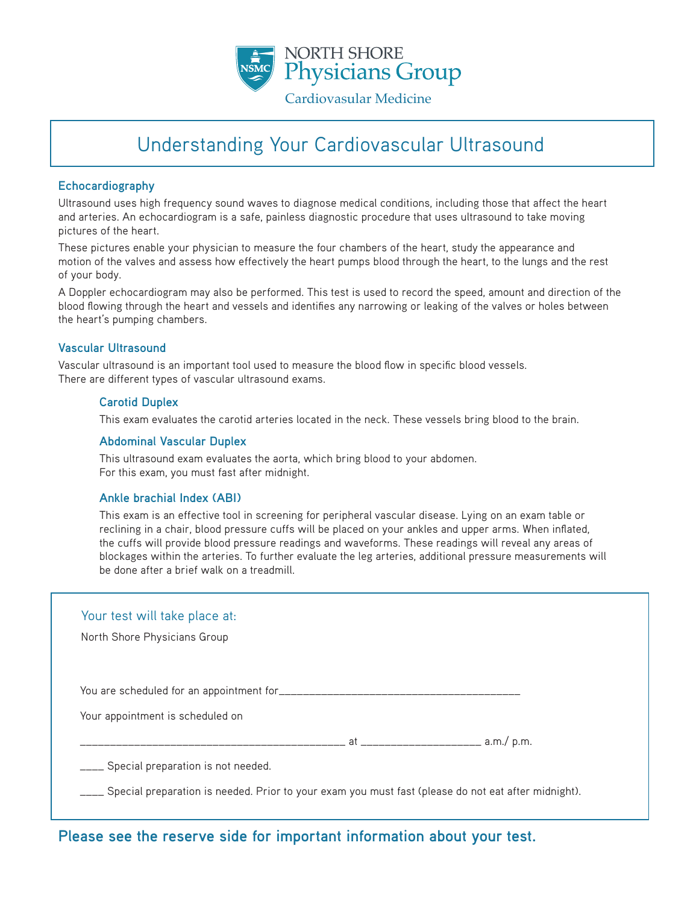

# Understanding Your Cardiovascular Ultrasound

#### **Echocardiography**

Ultrasound uses high frequency sound waves to diagnose medical conditions, including those that affect the heart and arteries. An echocardiogram is a safe, painless diagnostic procedure that uses ultrasound to take moving pictures of the heart.

These pictures enable your physician to measure the four chambers of the heart, study the appearance and motion of the valves and assess how effectively the heart pumps blood through the heart, to the lungs and the rest of your body.

A Doppler echocardiogram may also be performed. This test is used to record the speed, amount and direction of the blood flowing through the heart and vessels and identifies any narrowing or leaking of the valves or holes between the heart's pumping chambers.

#### **Vascular Ultrasound**

Vascular ultrasound is an important tool used to measure the blood flow in specific blood vessels. There are different types of vascular ultrasound exams.

### **Carotid Duplex**

This exam evaluates the carotid arteries located in the neck. These vessels bring blood to the brain.

#### **Abdominal Vascular Duplex**

This ultrasound exam evaluates the aorta, which bring blood to your abdomen. For this exam, you must fast after midnight.

#### **Ankle brachial Index (ABI)**

This exam is an effective tool in screening for peripheral vascular disease. Lying on an exam table or reclining in a chair, blood pressure cuffs will be placed on your ankles and upper arms. When inflated, the cuffs will provide blood pressure readings and waveforms. These readings will reveal any areas of blockages within the arteries. To further evaluate the leg arteries, additional pressure measurements will be done after a brief walk on a treadmill.

| Your test will take place at:                                                                           |                                             |
|---------------------------------------------------------------------------------------------------------|---------------------------------------------|
| North Shore Physicians Group                                                                            |                                             |
|                                                                                                         |                                             |
|                                                                                                         |                                             |
|                                                                                                         |                                             |
| Your appointment is scheduled on                                                                        |                                             |
|                                                                                                         | at _____________________________ a.m./ p.m. |
| ____ Special preparation is not needed.                                                                 |                                             |
| ___ Special preparation is needed. Prior to your exam you must fast (please do not eat after midnight). |                                             |

### **Please see the reserve side for important information about your test.**